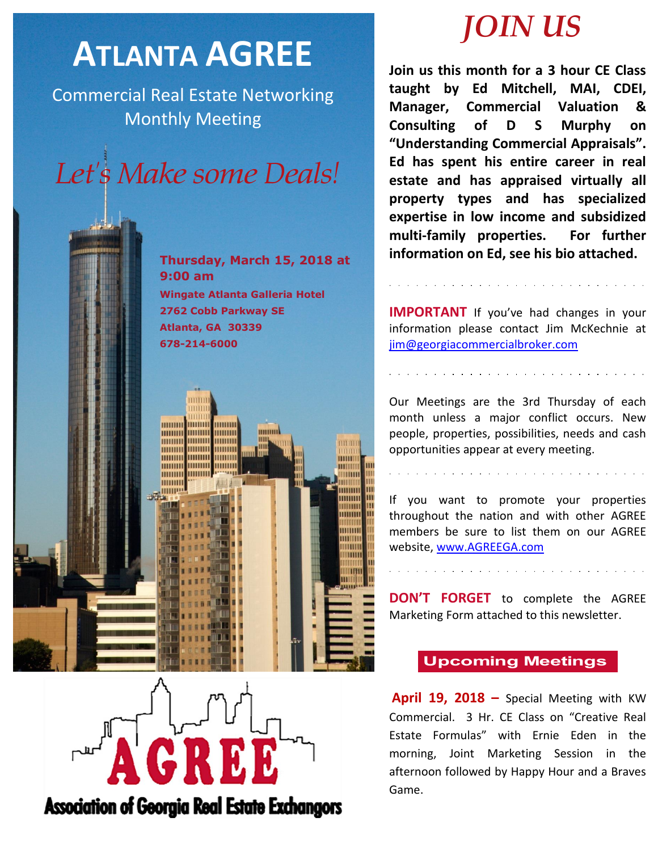## **ATLANTA AGREE**

Commercial Real Estate Networking Monthly Meeting

# Let's Make some Deals!



**2762 Cobb Parkway SE Atlanta, GA 30339 678-214-6000**





**Join us this month for a 3 hour CE Class taught by Ed Mitchell, MAI, CDEI, Manager, Commercial Valuation & Consulting of D S Murphy on "Understanding Commercial Appraisals". Ed has spent his entire career in real estate and has appraised virtually all property types and has specialized expertise in low income and subsidized multi-family properties. For further information on Ed, see his bio attached.**

**IMPORTANT** If you've had changes in your information please contact Jim McKechnie at [jim@georgiacommercialbroker.com](mailto:jim@georgiacommercialbroker.com?subject=Changes%20to%20My%20Account)

Our Meetings are the 3rd Thursday of each month unless a major conflict occurs. New people, properties, possibilities, needs and cash opportunities appear at every meeting.

If you want to promote your properties throughout the nation and with other AGREE members be sure to list them on our AGREE website,<www.AGREEGA.com>

**DON'T FORGET** to complete the AGREE Marketing Form attached to this newsletter.

## **Upcoming Meetings**

**April 19, 2018 –** Special Meeting with KW Commercial. 3 Hr. CE Class on "Creative Real Estate Formulas" with Ernie Eden in the morning, Joint Marketing Session in the afternoon followed by Happy Hour and a Braves Game.



**Association of Georgia Real Estate Exchangors**